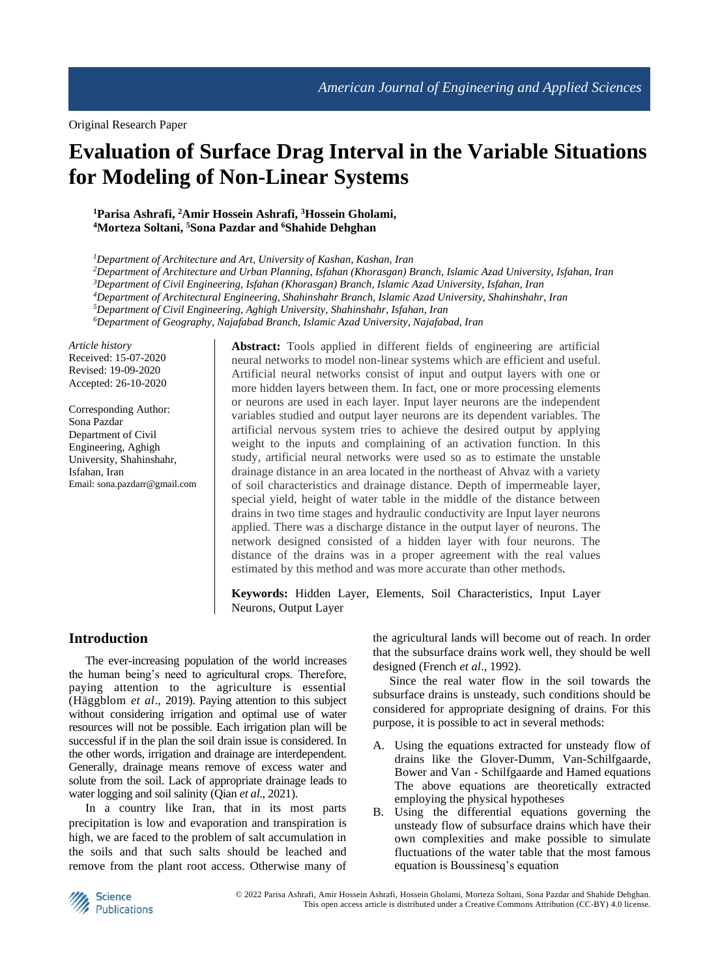Original Research Paper

# **Evaluation of Surface Drag Interval in the Variable Situations for Modeling of Non-Linear Systems**

#### **<sup>1</sup>Parisa Ashrafi, <sup>2</sup>Amir Hossein Ashrafi, <sup>3</sup>Hossein Gholami, <sup>4</sup>Morteza Soltani, <sup>5</sup>Sona Pazdar and <sup>6</sup>Shahide Dehghan**

*<sup>1</sup>Department of Architecture and Art, University of Kashan, Kashan, Iran*

*Department of Architecture and Urban Planning, Isfahan (Khorasgan) Branch, Islamic Azad University, Isfahan, Iran Department of Civil Engineering, Isfahan (Khorasgan) Branch, Islamic Azad University, Isfahan, Iran Department of Architectural Engineering, Shahinshahr Branch, Islamic Azad University, Shahinshahr, Iran Department of Civil Engineering, Aghigh University, Shahinshahr, Isfahan, Iran*

*<sup>6</sup>Department of Geography, Najafabad Branch, Islamic Azad University, Najafabad, Iran*

*Article history* Received: 15-07-2020 Revised: 19-09-2020 Accepted: 26-10-2020

Corresponding Author: Sona Pazdar Department of Civil Engineering, Aghigh University, Shahinshahr, Isfahan, Iran Email: sona.pazdarr@gmail.com **Abstract:** Tools applied in different fields of engineering are artificial neural networks to model non-linear systems which are efficient and useful. Artificial neural networks consist of input and output layers with one or more hidden layers between them. In fact, one or more processing elements or neurons are used in each layer. Input layer neurons are the independent variables studied and output layer neurons are its dependent variables. The artificial nervous system tries to achieve the desired output by applying weight to the inputs and complaining of an activation function. In this study, artificial neural networks were used so as to estimate the unstable drainage distance in an area located in the northeast of Ahvaz with a variety of soil characteristics and drainage distance. Depth of impermeable layer, special yield, height of water table in the middle of the distance between drains in two time stages and hydraulic conductivity are Input layer neurons applied. There was a discharge distance in the output layer of neurons. The network designed consisted of a hidden layer with four neurons. The distance of the drains was in a proper agreement with the real values estimated by this method and was more accurate than other methods.

**Keywords:** Hidden Layer, Elements, Soil Characteristics, Input Layer Neurons, Output Layer

## **Introduction**

The ever-increasing population of the world increases the human being's need to agricultural crops. Therefore, paying attention to the agriculture is essential (Häggblom *et al*., 2019). Paying attention to this subject without considering irrigation and optimal use of water resources will not be possible. Each irrigation plan will be successful if in the plan the soil drain issue is considered. In the other words, irrigation and drainage are interdependent. Generally, drainage means remove of excess water and solute from the soil. Lack of appropriate drainage leads to water logging and soil salinity (Qian *et al*., 2021).

In a country like Iran, that in its most parts precipitation is low and evaporation and transpiration is high, we are faced to the problem of salt accumulation in the soils and that such salts should be leached and remove from the plant root access. Otherwise many of

the agricultural lands will become out of reach. In order that the subsurface drains work well, they should be well designed (French *et al*., 1992).

Since the real water flow in the soil towards the subsurface drains is unsteady, such conditions should be considered for appropriate designing of drains. For this purpose, it is possible to act in several methods:

- A. Using the equations extracted for unsteady flow of drains like the Glover-Dumm, Van-Schilfgaarde, Bower and Van - Schilfgaarde and Hamed equations The above equations are theoretically extracted employing the physical hypotheses
- B. Using the differential equations governing the unsteady flow of subsurface drains which have their own complexities and make possible to simulate fluctuations of the water table that the most famous equation is Boussinesq's equation

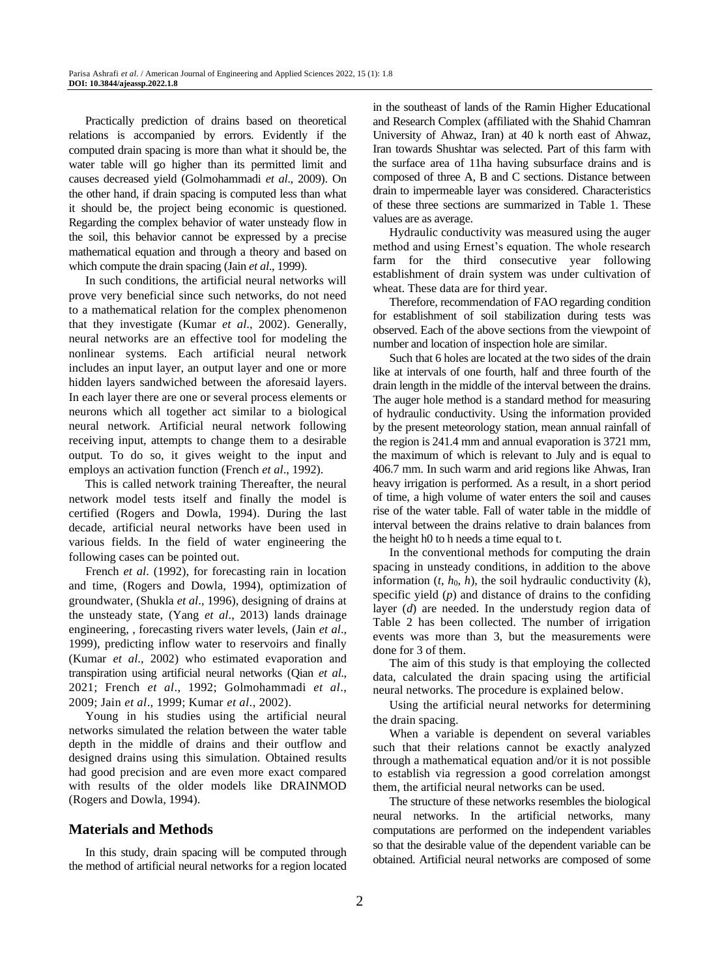Practically prediction of drains based on theoretical relations is accompanied by errors. Evidently if the computed drain spacing is more than what it should be, the water table will go higher than its permitted limit and causes decreased yield (Golmohammadi *et al*., 2009). On the other hand, if drain spacing is computed less than what it should be, the project being economic is questioned. Regarding the complex behavior of water unsteady flow in the soil, this behavior cannot be expressed by a precise mathematical equation and through a theory and based on which compute the drain spacing (Jain *et al*., 1999).

In such conditions, the artificial neural networks will prove very beneficial since such networks, do not need to a mathematical relation for the complex phenomenon that they investigate (Kumar *et al*., 2002). Generally, neural networks are an effective tool for modeling the nonlinear systems. Each artificial neural network includes an input layer, an output layer and one or more hidden layers sandwiched between the aforesaid layers. In each layer there are one or several process elements or neurons which all together act similar to a biological neural network. Artificial neural network following receiving input, attempts to change them to a desirable output. To do so, it gives weight to the input and employs an activation function (French *et al*., 1992).

This is called network training Thereafter, the neural network model tests itself and finally the model is certified (Rogers and Dowla, 1994). During the last decade, artificial neural networks have been used in various fields. In the field of water engineering the following cases can be pointed out.

French *et al*. (1992), for forecasting rain in location and time, (Rogers and Dowla, 1994), optimization of groundwater, (Shukla *et al*., 1996), designing of drains at the unsteady state, (Yang *et al*., 2013) lands drainage engineering, , forecasting rivers water levels, (Jain *et al*., 1999), predicting inflow water to reservoirs and finally (Kumar *et al*., 2002) who estimated evaporation and transpiration using artificial neural networks (Qian *et al*., 2021; French *et al*., 1992; Golmohammadi *et al*., 2009; Jain *et al*., 1999; Kumar *et al*., 2002).

Young in his studies using the artificial neural networks simulated the relation between the water table depth in the middle of drains and their outflow and designed drains using this simulation. Obtained results had good precision and are even more exact compared with results of the older models like DRAINMOD (Rogers and Dowla, 1994).

#### **Materials and Methods**

In this study, drain spacing will be computed through the method of artificial neural networks for a region located in the southeast of lands of the Ramin Higher Educational and Research Complex (affiliated with the Shahid Chamran University of Ahwaz, Iran) at 40 k north east of Ahwaz, Iran towards Shushtar was selected. Part of this farm with the surface area of 11ha having subsurface drains and is composed of three A, B and C sections. Distance between drain to impermeable layer was considered. Characteristics of these three sections are summarized in Table 1. These values are as average.

Hydraulic conductivity was measured using the auger method and using Ernest's equation. The whole research farm for the third consecutive year following establishment of drain system was under cultivation of wheat. These data are for third year.

Therefore, recommendation of FAO regarding condition for establishment of soil stabilization during tests was observed. Each of the above sections from the viewpoint of number and location of inspection hole are similar.

Such that 6 holes are located at the two sides of the drain like at intervals of one fourth, half and three fourth of the drain length in the middle of the interval between the drains. The auger hole method is a standard method for measuring of hydraulic conductivity. Using the information provided by the present meteorology station, mean annual rainfall of the region is 241.4 mm and annual evaporation is 3721 mm, the maximum of which is relevant to July and is equal to 406.7 mm. In such warm and arid regions like Ahwas, Iran heavy irrigation is performed. As a result, in a short period of time, a high volume of water enters the soil and causes rise of the water table. Fall of water table in the middle of interval between the drains relative to drain balances from the height h0 to h needs a time equal to t.

In the conventional methods for computing the drain spacing in unsteady conditions, in addition to the above information  $(t, h_0, h)$ , the soil hydraulic conductivity  $(k)$ , specific yield (*p*) and distance of drains to the confiding layer (*d*) are needed. In the understudy region data of Table 2 has been collected. The number of irrigation events was more than 3, but the measurements were done for 3 of them.

The aim of this study is that employing the collected data, calculated the drain spacing using the artificial neural networks. The procedure is explained below.

Using the artificial neural networks for determining the drain spacing.

When a variable is dependent on several variables such that their relations cannot be exactly analyzed through a mathematical equation and/or it is not possible to establish via regression a good correlation amongst them, the artificial neural networks can be used.

The structure of these networks resembles the biological neural networks. In the artificial networks, many computations are performed on the independent variables so that the desirable value of the dependent variable can be obtained. Artificial neural networks are composed of some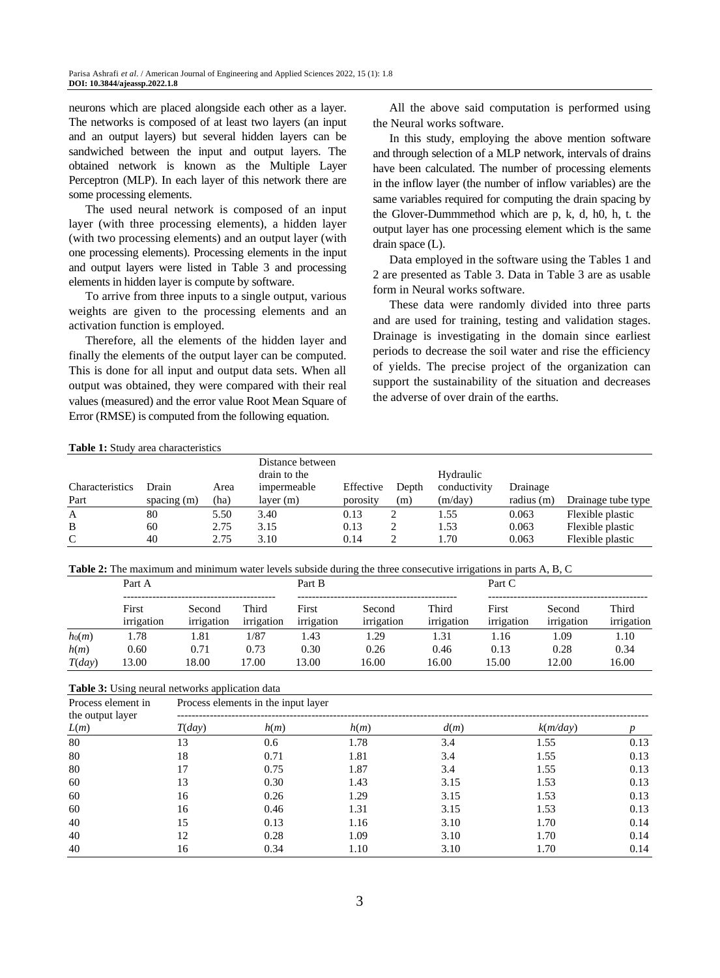neurons which are placed alongside each other as a layer. The networks is composed of at least two layers (an input and an output layers) but several hidden layers can be sandwiched between the input and output layers. The obtained network is known as the Multiple Layer Perceptron (MLP). In each layer of this network there are some processing elements.

The used neural network is composed of an input layer (with three processing elements), a hidden layer (with two processing elements) and an output layer (with one processing elements). Processing elements in the input and output layers were listed in Table 3 and processing elements in hidden layer is compute by software.

To arrive from three inputs to a single output, various weights are given to the processing elements and an activation function is employed.

Therefore, all the elements of the hidden layer and finally the elements of the output layer can be computed. This is done for all input and output data sets. When all output was obtained, they were compared with their real values (measured) and the error value Root Mean Square of Error (RMSE) is computed from the following equation.

All the above said computation is performed using the Neural works software.

In this study, employing the above mention software and through selection of a MLP network, intervals of drains have been calculated. The number of processing elements in the inflow layer (the number of inflow variables) are the same variables required for computing the drain spacing by the Glover-Dummmethod which are p, k, d, h0, h, t. the output layer has one processing element which is the same drain space (L).

Data employed in the software using the Tables 1 and 2 are presented as Table 3. Data in Table 3 are as usable form in Neural works software.

These data were randomly divided into three parts and are used for training, testing and validation stages. Drainage is investigating in the domain since earliest periods to decrease the soil water and rise the efficiency of yields. The precise project of the organization can support the sustainability of the situation and decreases the adverse of over drain of the earths.

#### **Table 1:** Study area characteristics

| <b>Characteristics</b><br>Part | Drain<br>spacing $(m)$ | Area<br>(ha) | Distance between<br>drain to the<br>impermeable<br>layer(m) | Effective<br>porosity | Depth<br>(m) | Hydraulic<br>conductivity<br>(m/day) | Drainage<br>radius (m) | Drainage tube type |
|--------------------------------|------------------------|--------------|-------------------------------------------------------------|-----------------------|--------------|--------------------------------------|------------------------|--------------------|
| A                              | 80                     | 5.50         | 3.40                                                        | 0.13                  |              | 1.55                                 | 0.063                  | Flexible plastic   |
| B                              | 60                     | 2.75         | 3.15                                                        | 0.13                  |              | 1.53                                 | 0.063                  | Flexible plastic   |
| $\mathbf{C}$                   | 40                     | 2.75         | 3.10                                                        | 0.14                  |              | 1.70                                 | 0.063                  | Flexible plastic   |

**Table 2:** The maximum and minimum water levels subside during the three consecutive irrigations in parts A, B, C

|          | Part A              |                      |                     | Part B              |                      |                     | Part C              |                      |                     |
|----------|---------------------|----------------------|---------------------|---------------------|----------------------|---------------------|---------------------|----------------------|---------------------|
|          | First<br>irrigation | Second<br>irrigation | Third<br>irrigation | First<br>irrigation | Second<br>irrigation | Third<br>irrigation | First<br>irrigation | Second<br>irrigation | Third<br>irrigation |
| $h_0(m)$ | 1.78                | l.81                 | 1/87                | .43                 | .29                  | 1.31                | .16                 | .09                  | 1.10                |
| h(m)     | 0.60                | 0.71                 | 0.73                | 0.30                | 0.26                 | 0.46                | 0.13                | 0.28                 | 0.34                |
| T(day)   | 3.00                | 18.00                | 17.00               | 13.00               | 16.00                | 16.00               | 15.00               | 12.00                | 16.00               |

**Table 3:** Using neural networks application data

| Process element in | Process elements in the input layer |      |      |      |                               |      |  |  |  |
|--------------------|-------------------------------------|------|------|------|-------------------------------|------|--|--|--|
| the output layer   |                                     | h(m) | h(m) |      |                               |      |  |  |  |
| L(m)               | T(dav)                              |      |      | d(m) | $k$ ( <i>m</i> / <i>day</i> ) |      |  |  |  |
| 80                 | 13                                  | 0.6  | 1.78 | 3.4  | 1.55                          | 0.13 |  |  |  |
| 80                 | 18                                  | 0.71 | 1.81 | 3.4  | 1.55                          | 0.13 |  |  |  |
| 80                 | 17                                  | 0.75 | 1.87 | 3.4  | 1.55                          | 0.13 |  |  |  |
| 60                 | 13                                  | 0.30 | 1.43 | 3.15 | 1.53                          | 0.13 |  |  |  |
| 60                 | 16                                  | 0.26 | 1.29 | 3.15 | 1.53                          | 0.13 |  |  |  |
| 60                 | 16                                  | 0.46 | 1.31 | 3.15 | 1.53                          | 0.13 |  |  |  |
| 40                 | 15                                  | 0.13 | 1.16 | 3.10 | 1.70                          | 0.14 |  |  |  |
| 40                 | 12                                  | 0.28 | 1.09 | 3.10 | 1.70                          | 0.14 |  |  |  |
| 40                 | 16                                  | 0.34 | 1.10 | 3.10 | 1.70                          | 0.14 |  |  |  |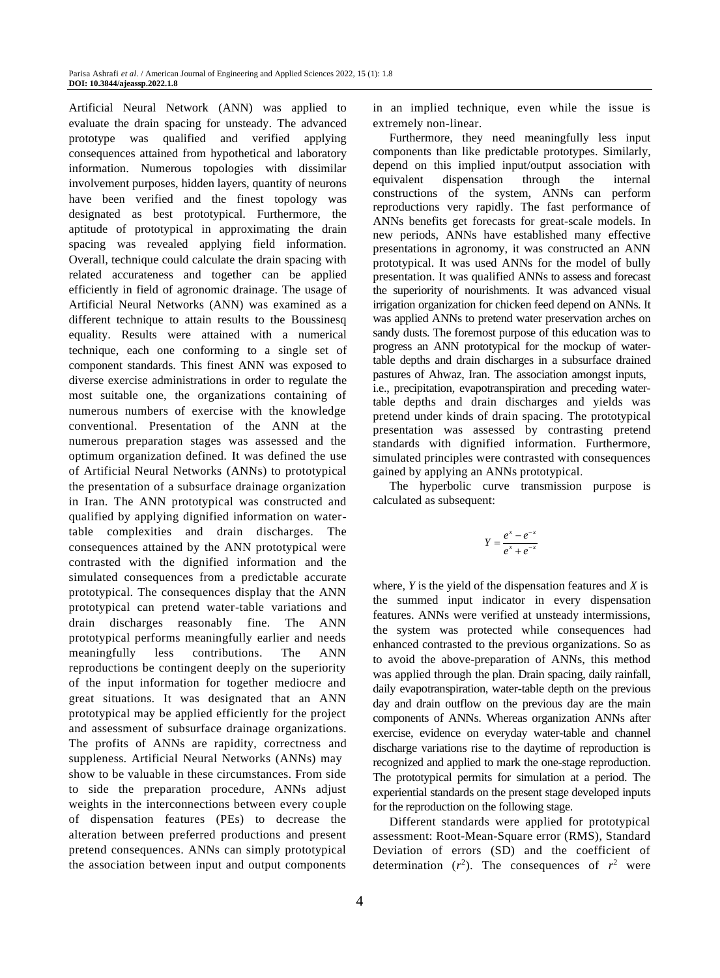Artificial Neural Network (ANN) was applied to evaluate the drain spacing for unsteady. The advanced prototype was qualified and verified applying consequences attained from hypothetical and laboratory information. Numerous topologies with dissimilar involvement purposes, hidden layers, quantity of neurons have been verified and the finest topology was designated as best prototypical. Furthermore, the aptitude of prototypical in approximating the drain spacing was revealed applying field information. Overall, technique could calculate the drain spacing with related accurateness and together can be applied efficiently in field of agronomic drainage. The usage of Artificial Neural Networks (ANN) was examined as a different technique to attain results to the Boussinesq equality. Results were attained with a numerical technique, each one conforming to a single set of component standards. This finest ANN was exposed to diverse exercise administrations in order to regulate the most suitable one, the organizations containing of numerous numbers of exercise with the knowledge conventional. Presentation of the ANN at the numerous preparation stages was assessed and the optimum organization defined. It was defined the use of Artificial Neural Networks (ANNs) to prototypical the presentation of a subsurface drainage organization in Iran. The ANN prototypical was constructed and qualified by applying dignified information on watertable complexities and drain discharges. The consequences attained by the ANN prototypical were contrasted with the dignified information and the simulated consequences from a predictable accurate prototypical. The consequences display that the ANN prototypical can pretend water-table variations and drain discharges reasonably fine. The ANN prototypical performs meaningfully earlier and needs meaningfully less contributions. The ANN reproductions be contingent deeply on the superiority of the input information for together mediocre and great situations. It was designated that an ANN prototypical may be applied efficiently for the project and assessment of subsurface drainage organizations. The profits of ANNs are rapidity, correctness and suppleness. Artificial Neural Networks (ANNs) may show to be valuable in these circumstances. From side to side the preparation procedure, ANNs adjust weights in the interconnections between every couple of dispensation features (PEs) to decrease the alteration between preferred productions and present pretend consequences. ANNs can simply prototypical the association between input and output components

in an implied technique, even while the issue is extremely non-linear.

Furthermore, they need meaningfully less input components than like predictable prototypes. Similarly, depend on this implied input/output association with equivalent dispensation through the internal constructions of the system, ANNs can perform reproductions very rapidly. The fast performance of ANNs benefits get forecasts for great-scale models. In new periods, ANNs have established many effective presentations in agronomy, it was constructed an ANN prototypical. It was used ANNs for the model of bully presentation. It was qualified ANNs to assess and forecast the superiority of nourishments. It was advanced visual irrigation organization for chicken feed depend on ANNs. It was applied ANNs to pretend water preservation arches on sandy dusts. The foremost purpose of this education was to progress an ANN prototypical for the mockup of watertable depths and drain discharges in a subsurface drained pastures of Ahwaz, Iran. The association amongst inputs, i.e., precipitation, evapotranspiration and preceding watertable depths and drain discharges and yields was pretend under kinds of drain spacing. The prototypical presentation was assessed by contrasting pretend standards with dignified information. Furthermore, simulated principles were contrasted with consequences gained by applying an ANNs prototypical .

The hyperbolic curve transmission purpose is calculated as subsequent:

$$
Y = \frac{e^x - e^{-x}}{e^x + e^{-x}}
$$

where, *Y* is the yield of the dispensation features and *X* is the summed input indicator in every dispensation features. ANNs were verified at unsteady intermissions, the system was protected while consequences had enhanced contrasted to the previous organizations. So as to avoid the above-preparation of ANNs, this method was applied through the plan. Drain spacing, daily rainfall, daily evapotranspiration, water-table depth on the previous day and drain outflow on the previous day are the main components of ANNs. Whereas organization ANNs after exercise, evidence on everyday water-table and channel discharge variations rise to the daytime of reproduction is recognized and applied to mark the one-stage reproduction. The prototypical permits for simulation at a period. The experiential standards on the present stage developed inputs for the reproduction on the following stage.

Different standards were applied for prototypical assessment: Root-Mean-Square error (RMS), Standard Deviation of errors (SD) and the coefficient of determination  $(r^2)$ . The consequences of  $r^2$  were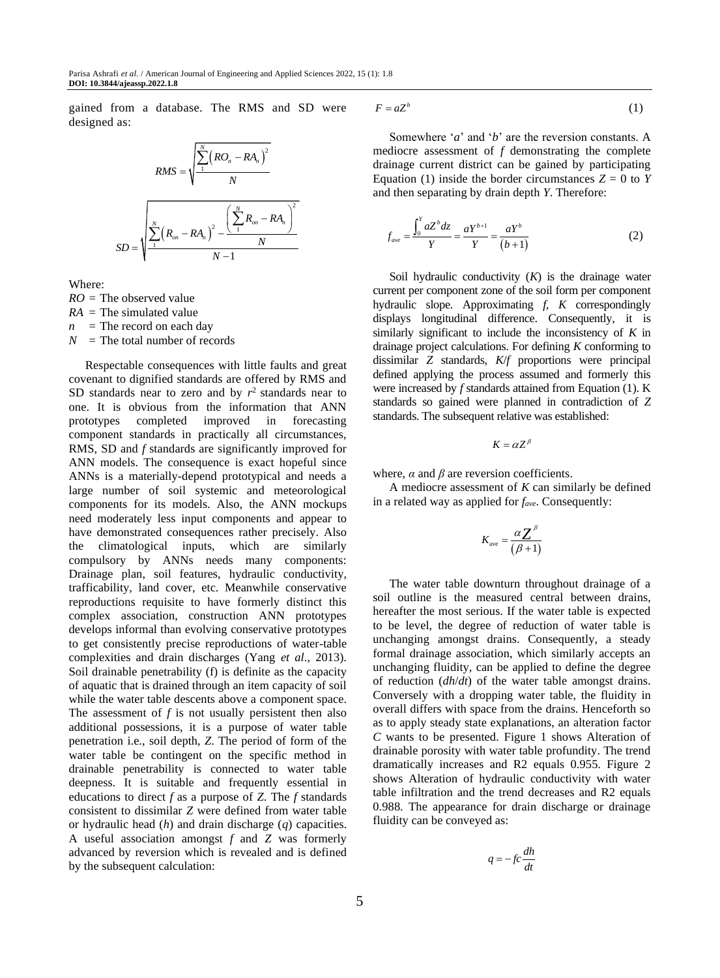gained from a database. The RMS and SD were designed as:

$$
RMS = \sqrt{\frac{\sum_{1}^{N} (RO_{n} - RA_{n})^{2}}{N}}
$$

$$
SD = \sqrt{\frac{\sum_{1}^{N} (R_{on} - RA_{n})^{2} - \frac{(\sum_{1}^{N} R_{on} - RA_{n})^{2}}{N}}{N - 1}}
$$

Where:

*RO* = The observed value

*RA* = The simulated value  $n =$ The record on each day

 $N =$ The total number of records

Respectable consequences with little faults and great covenant to dignified standards are offered by RMS and SD standards near to zero and by  $r^2$  standards near to one. It is obvious from the information that ANN prototypes completed improved in forecasting component standards in practically all circumstances, RMS, SD and *f* standards are significantly improved for ANN models. The consequence is exact hopeful since ANNs is a materially-depend prototypical and needs a large number of soil systemic and meteorological components for its models. Also, the ANN mockups need moderately less input components and appear to have demonstrated consequences rather precisely. Also the climatological inputs, which are similarly compulsory by ANNs needs many components: Drainage plan, soil features, hydraulic conductivity, trafficability, land cover, etc. Meanwhile conservative reproductions requisite to have formerly distinct this complex association, construction ANN prototypes develops informal than evolving conservative prototypes to get consistently precise reproductions of water-table complexities and drain discharges (Yang *et al*., 2013). Soil drainable penetrability (f) is definite as the capacity of aquatic that is drained through an item capacity of soil while the water table descents above a component space. The assessment of *f* is not usually persistent then also additional possessions, it is a purpose of water table penetration i.e., soil depth, *Z*. The period of form of the water table be contingent on the specific method in drainable penetrability is connected to water table deepness. It is suitable and frequently essential in educations to direct *f* as a purpose of *Z*. The *f* standards consistent to dissimilar *Z* were defined from water table or hydraulic head (*h*) and drain discharge (*q*) capacities. A useful association amongst *f* and *Z* was formerly advanced by reversion which is revealed and is defined by the subsequent calculation:

$$
F = aZ^b \tag{1}
$$

Somewhere '*a*' and '*b*' are the reversion constants. A mediocre assessment of *f* demonstrating the complete drainage current district can be gained by participating Equation (1) inside the border circumstances  $Z = 0$  to  $Y$ and then separating by drain depth *Y*. Therefore:

$$
f_{ave} = \frac{\int_0^Y aZ^b dz}{Y} = \frac{aY^{b+1}}{Y} = \frac{aY^b}{(b+1)}
$$
 (2)

Soil hydraulic conductivity (*K*) is the drainage water current per component zone of the soil form per component hydraulic slope. Approximating *f*, *K* correspondingly displays longitudinal difference. Consequently, it is similarly significant to include the inconsistency of *K* in drainage project calculations. For defining *K* conforming to dissimilar *Z* standards, *K*/*f* proportions were principal defined applying the process assumed and formerly this were increased by *f* standards attained from Equation (1). K standards so gained were planned in contradiction of *Z* standards. The subsequent relative was established:

$$
K=\alpha Z^\beta
$$

where,  $\alpha$  and  $\beta$  are reversion coefficients.

A mediocre assessment of *K* can similarly be defined in a related way as applied for *fave*. Consequently:

$$
K_{ave} = \frac{\alpha Z^{\beta}}{(\beta + 1)}
$$

The water table downturn throughout drainage of a soil outline is the measured central between drains, hereafter the most serious. If the water table is expected to be level, the degree of reduction of water table is unchanging amongst drains. Consequently, a steady formal drainage association, which similarly accepts an unchanging fluidity, can be applied to define the degree of reduction (*dh*/*dt*) of the water table amongst drains. Conversely with a dropping water table, the fluidity in overall differs with space from the drains. Henceforth so as to apply steady state explanations, an alteration factor *C* wants to be presented. Figure 1 shows Alteration of drainable porosity with water table profundity. The trend dramatically increases and R2 equals 0.955. Figure 2 shows Alteration of hydraulic conductivity with water table infiltration and the trend decreases and R2 equals 0.988. The appearance for drain discharge or drainage fluidity can be conveyed as:

$$
q = -fc\frac{dh}{dt}
$$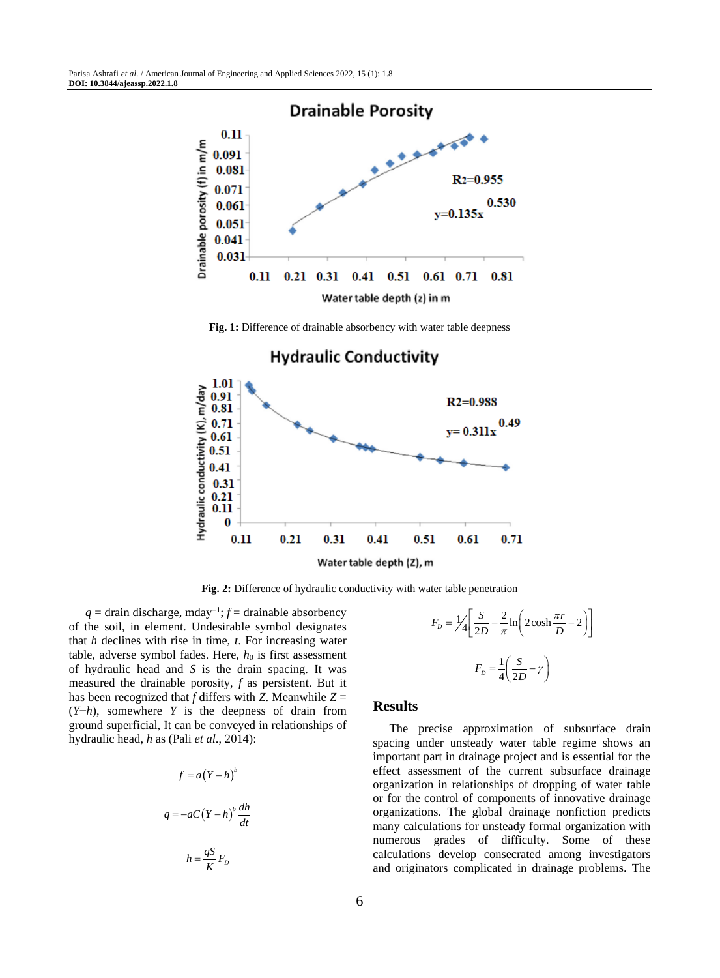

**Fig. 1:** Difference of drainable absorbency with water table deepness



#### **Hydraulic Conductivity**

**Fig. 2:** Difference of hydraulic conductivity with water table penetration

*q* = drain discharge, mday<sup>-1</sup>; *f* = drainable absorbency of the soil, in element. Undesirable symbol designates that *h* declines with rise in time, *t*. For increasing water table, adverse symbol fades. Here,  $h_0$  is first assessment of hydraulic head and *S* is the drain spacing. It was measured the drainable porosity, *f* as persistent. But it has been recognized that  $f$  differs with  $Z$ . Meanwhile  $Z =$ (*Y*−*h*), somewhere *Y* is the deepness of drain from ground superficial, It can be conveyed in relationships of hydraulic head, *h* as (Pali *et al*., 2014):

$$
f = a(Y - h)^{b}
$$

$$
q = -aC(Y - h)^{b} \frac{dh}{dt}
$$

$$
h = \frac{qS}{K} F_{b}
$$

$$
F_D = \frac{1}{4} \left[ \frac{S}{2D} - \frac{2}{\pi} \ln \left( 2 \cosh \frac{\pi r}{D} - 2 \right) \right]
$$

$$
F_D = \frac{1}{4} \left( \frac{S}{2D} - \gamma \right)
$$

#### **Results**

The precise approximation of subsurface drain spacing under unsteady water table regime shows an important part in drainage project and is essential for the effect assessment of the current subsurface drainage organization in relationships of dropping of water table or for the control of components of innovative drainage organizations. The global drainage nonfiction predicts many calculations for unsteady formal organization with numerous grades of difficulty. Some of these calculations develop consecrated among investigators and originators complicated in drainage problems. The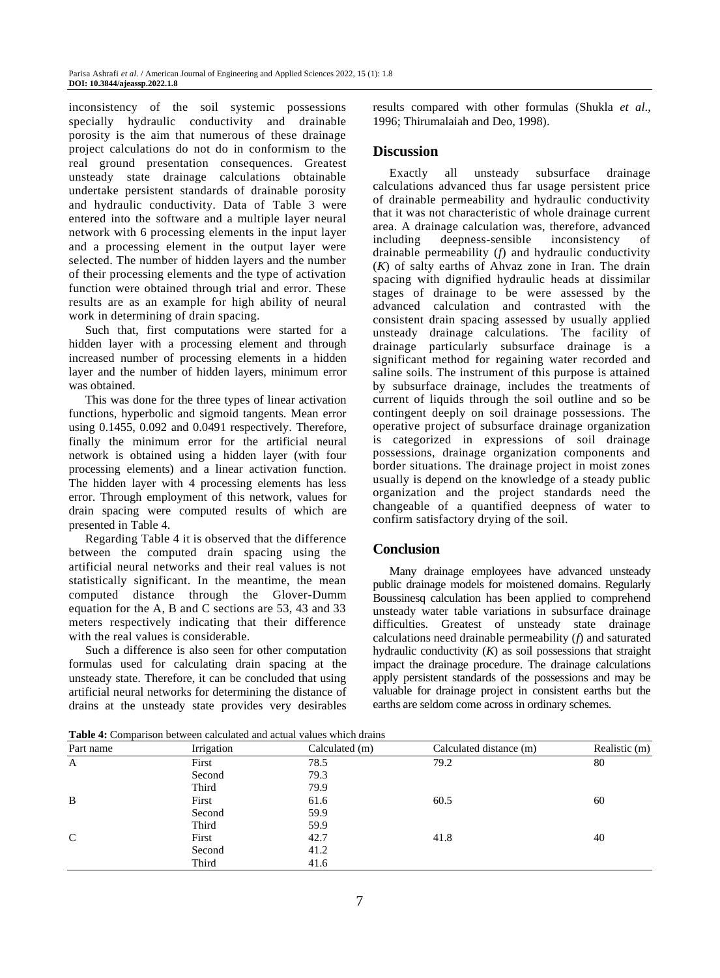inconsistency of the soil systemic possessions specially hydraulic conductivity and drainable porosity is the aim that numerous of these drainage project calculations do not do in conformism to the real ground presentation consequences. Greatest unsteady state drainage calculations obtainable undertake persistent standards of drainable porosity and hydraulic conductivity. Data of Table 3 were entered into the software and a multiple layer neural network with 6 processing elements in the input layer and a processing element in the output layer were selected. The number of hidden layers and the number of their processing elements and the type of activation function were obtained through trial and error. These results are as an example for high ability of neural work in determining of drain spacing.

Such that, first computations were started for a hidden layer with a processing element and through increased number of processing elements in a hidden layer and the number of hidden layers, minimum error was obtained.

This was done for the three types of linear activation functions, hyperbolic and sigmoid tangents. Mean error using 0.1455, 0.092 and 0.0491 respectively. Therefore, finally the minimum error for the artificial neural network is obtained using a hidden layer (with four processing elements) and a linear activation function. The hidden layer with 4 processing elements has less error. Through employment of this network, values for drain spacing were computed results of which are presented in Table 4.

Regarding Table 4 it is observed that the difference between the computed drain spacing using the artificial neural networks and their real values is not statistically significant. In the meantime, the mean computed distance through the Glover-Dumm equation for the A, B and C sections are 53, 43 and 33 meters respectively indicating that their difference with the real values is considerable.

Such a difference is also seen for other computation formulas used for calculating drain spacing at the unsteady state. Therefore, it can be concluded that using artificial neural networks for determining the distance of drains at the unsteady state provides very desirables

results compared with other formulas (Shukla *et al*., 1996; Thirumalaiah and Deo, 1998).

#### **Discussion**

Exactly all unsteady subsurface drainage calculations advanced thus far usage persistent price of drainable permeability and hydraulic conductivity that it was not characteristic of whole drainage current area. A drainage calculation was, therefore, advanced including deepness-sensible inconsistency of drainable permeability (*f*) and hydraulic conductivity (*K*) of salty earths of Ahvaz zone in Iran. The drain spacing with dignified hydraulic heads at dissimilar stages of drainage to be were assessed by the advanced calculation and contrasted with the consistent drain spacing assessed by usually applied unsteady drainage calculations. The facility of drainage particularly subsurface drainage is a significant method for regaining water recorded and saline soils. The instrument of this purpose is attained by subsurface drainage, includes the treatments of current of liquids through the soil outline and so be contingent deeply on soil drainage possessions. The operative project of subsurface drainage organization is categorized in expressions of soil drainage possessions, drainage organization components and border situations. The drainage project in moist zones usually is depend on the knowledge of a steady public organization and the project standards need the changeable of a quantified deepness of water to confirm satisfactory drying of the soil.

## **Conclusion**

Many drainage employees have advanced unsteady public drainage models for moistened domains. Regularly Boussinesq calculation has been applied to comprehend unsteady water table variations in subsurface drainage difficulties. Greatest of unsteady state drainage calculations need drainable permeability (*f*) and saturated hydraulic conductivity (*K*) as soil possessions that straight impact the drainage procedure. The drainage calculations apply persistent standards of the possessions and may be valuable for drainage project in consistent earths but the earths are seldom come across in ordinary schemes.

| <b>Table 4:</b> Comparison between calculated and actual values which drains |  |
|------------------------------------------------------------------------------|--|
|------------------------------------------------------------------------------|--|

| Part name   | Irrigation | Calculated (m) | Calculated distance (m) | Realistic (m) |  |
|-------------|------------|----------------|-------------------------|---------------|--|
| A           | First      | 78.5           | 79.2                    | 80            |  |
|             | Second     | 79.3           |                         |               |  |
|             | Third      | 79.9           |                         |               |  |
| B           | First      | 61.6           | 60.5                    | 60            |  |
|             | Second     | 59.9           |                         |               |  |
|             | Third      | 59.9           |                         |               |  |
| $\mathbf C$ | First      | 42.7           | 41.8                    | 40            |  |
|             | Second     | 41.2           |                         |               |  |
|             | Third      | 41.6           |                         |               |  |